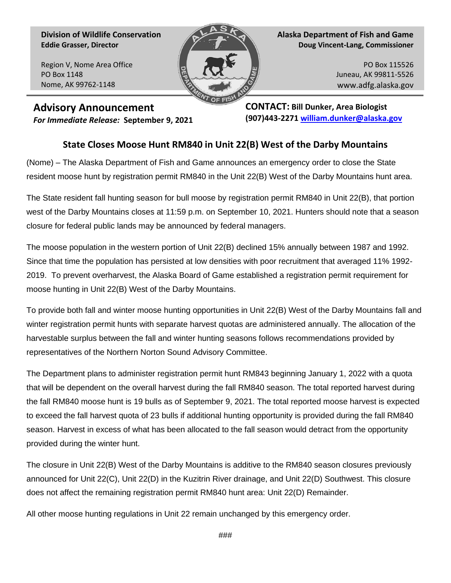**Division of Wildlife Conservation Eddie Grasser, Director**

Region V, Nome Area Office PO Box 1148 Nome, AK 99762-1148



**Alaska Department of Fish and Game Doug Vincent-Lang, Commissioner**

> PO Box 115526 Juneau, AK 99811-5526 www.adfg.alaska.gov

## **Advisory Announcement**

*For Immediate Release:* **September 9, 2021**

**CONTACT: Bill Dunker, Area Biologist (907)443-2271 [william.dunker@alaska.gov](mailto:william.dunker@alaska.gov)** 

## **State Closes Moose Hunt RM840 in Unit 22(B) West of the Darby Mountains**

(Nome) – The Alaska Department of Fish and Game announces an emergency order to close the State resident moose hunt by registration permit RM840 in the Unit 22(B) West of the Darby Mountains hunt area.

The State resident fall hunting season for bull moose by registration permit RM840 in Unit 22(B), that portion west of the Darby Mountains closes at 11:59 p.m. on September 10, 2021. Hunters should note that a season closure for federal public lands may be announced by federal managers.

The moose population in the western portion of Unit 22(B) declined 15% annually between 1987 and 1992. Since that time the population has persisted at low densities with poor recruitment that averaged 11% 1992- 2019. To prevent overharvest, the Alaska Board of Game established a registration permit requirement for moose hunting in Unit 22(B) West of the Darby Mountains.

To provide both fall and winter moose hunting opportunities in Unit 22(B) West of the Darby Mountains fall and winter registration permit hunts with separate harvest quotas are administered annually. The allocation of the harvestable surplus between the fall and winter hunting seasons follows recommendations provided by representatives of the Northern Norton Sound Advisory Committee.

The Department plans to administer registration permit hunt RM843 beginning January 1, 2022 with a quota that will be dependent on the overall harvest during the fall RM840 season. The total reported harvest during the fall RM840 moose hunt is 19 bulls as of September 9, 2021. The total reported moose harvest is expected to exceed the fall harvest quota of 23 bulls if additional hunting opportunity is provided during the fall RM840 season. Harvest in excess of what has been allocated to the fall season would detract from the opportunity provided during the winter hunt.

The closure in Unit 22(B) West of the Darby Mountains is additive to the RM840 season closures previously announced for Unit 22(C), Unit 22(D) in the Kuzitrin River drainage, and Unit 22(D) Southwest. This closure does not affect the remaining registration permit RM840 hunt area: Unit 22(D) Remainder.

All other moose hunting regulations in Unit 22 remain unchanged by this emergency order.